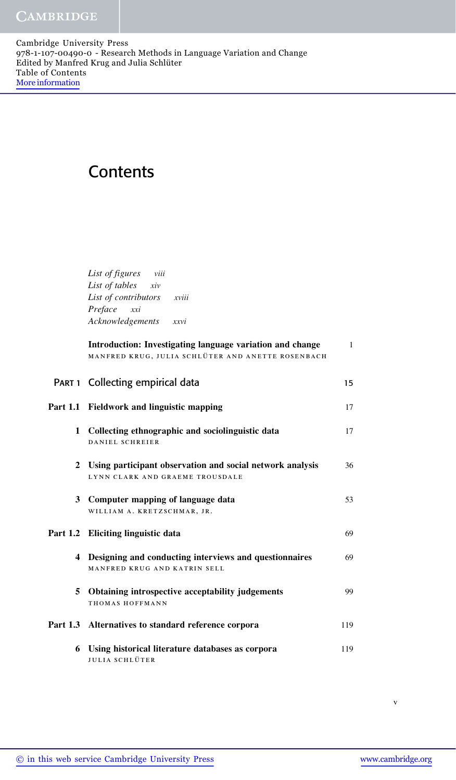## **Contents**

List of figures viii List of tables xiv List of contributors xviii Preface xxi Acknowledgements xxvi

|   | Introduction: Investigating language variation and change<br>MANFRED KRUG, JULIA SCHLÜTER AND ANETTE ROSENBACH | $\mathbf{1}$ |
|---|----------------------------------------------------------------------------------------------------------------|--------------|
|   | PART 1 Collecting empirical data                                                                               | 15           |
|   | Part 1.1 Fieldwork and linguistic mapping                                                                      | 17           |
|   | 1 Collecting ethnographic and sociolinguistic data<br>DANIEL SCHREIER                                          | 17           |
|   | 2 Using participant observation and social network analysis<br>LYNN CLARK AND GRAEME TROUSDALE                 | 36           |
|   | 3 Computer mapping of language data<br>WILLIAM A. KRETZSCHMAR, JR.                                             | 53           |
|   | Part 1.2 Eliciting linguistic data                                                                             | 69           |
|   | 4 Designing and conducting interviews and questionnaires<br>MANFRED KRUG AND KATRIN SELL                       | 69           |
|   | 5 Obtaining introspective acceptability judgements<br>THOMAS HOFFMANN                                          | 99           |
|   | Part 1.3 Alternatives to standard reference corpora                                                            | 119          |
| 6 | Using historical literature databases as corpora<br>JULIA SCHLÜTER                                             | 119          |

v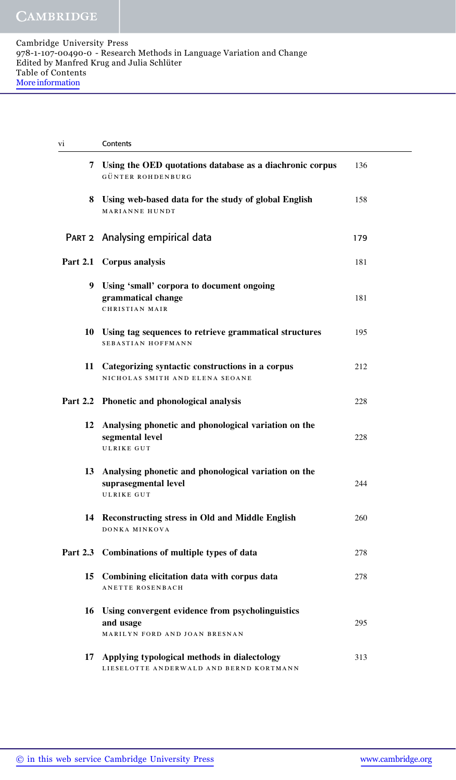| V1 | Contents                                                                                             |     |
|----|------------------------------------------------------------------------------------------------------|-----|
| 7  | Using the OED quotations database as a diachronic corpus<br>GÜNTER ROHDENBURG                        | 136 |
|    | 8 Using web-based data for the study of global English<br><b>MARIANNE HUNDT</b>                      | 158 |
|    | PART 2 Analysing empirical data                                                                      | 179 |
|    | Part 2.1 Corpus analysis                                                                             | 181 |
|    | 9 Using 'small' corpora to document ongoing<br>grammatical change<br><b>CHRISTIAN MAIR</b>           | 181 |
|    | 10 Using tag sequences to retrieve grammatical structures<br><b>SEBASTIAN HOFFMANN</b>               | 195 |
|    | 11 Categorizing syntactic constructions in a corpus<br>NICHOLAS SMITH AND ELENA SEOANE               | 212 |
|    | Part 2.2 Phonetic and phonological analysis                                                          | 228 |
| 12 | Analysing phonetic and phonological variation on the<br>segmental level<br><b>ULRIKE GUT</b>         | 228 |
|    | 13 Analysing phonetic and phonological variation on the<br>suprasegmental level<br><b>ULRIKE GUT</b> | 244 |
|    | 14 Reconstructing stress in Old and Middle English<br>DONKA MINKOVA                                  | 260 |
|    | Part 2.3 Combinations of multiple types of data                                                      | 278 |
|    | 15 Combining elicitation data with corpus data<br>ANETTE ROSENBACH                                   | 278 |
|    | 16 Using convergent evidence from psycholinguistics<br>and usage<br>MARILYN FORD AND JOAN BRESNAN    | 295 |
| 17 | Applying typological methods in dialectology<br>LIESELOTTE ANDERWALD AND BERND KORTMANN              | 313 |